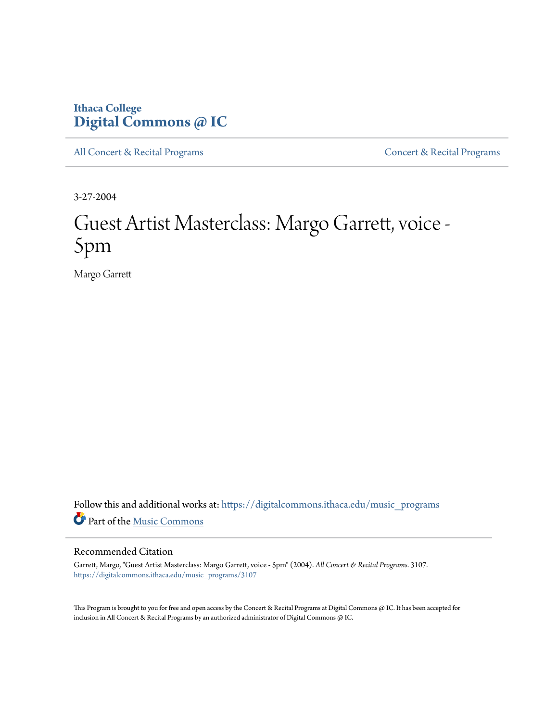## **Ithaca College [Digital Commons @ IC](https://digitalcommons.ithaca.edu?utm_source=digitalcommons.ithaca.edu%2Fmusic_programs%2F3107&utm_medium=PDF&utm_campaign=PDFCoverPages)**

[All Concert & Recital Programs](https://digitalcommons.ithaca.edu/music_programs?utm_source=digitalcommons.ithaca.edu%2Fmusic_programs%2F3107&utm_medium=PDF&utm_campaign=PDFCoverPages) **[Concert & Recital Programs](https://digitalcommons.ithaca.edu/som_programs?utm_source=digitalcommons.ithaca.edu%2Fmusic_programs%2F3107&utm_medium=PDF&utm_campaign=PDFCoverPages)** 

3-27-2004

# Guest Artist Masterclass: Margo Garrett, voice - 5pm

Margo Garrett

Follow this and additional works at: [https://digitalcommons.ithaca.edu/music\\_programs](https://digitalcommons.ithaca.edu/music_programs?utm_source=digitalcommons.ithaca.edu%2Fmusic_programs%2F3107&utm_medium=PDF&utm_campaign=PDFCoverPages) Part of the [Music Commons](http://network.bepress.com/hgg/discipline/518?utm_source=digitalcommons.ithaca.edu%2Fmusic_programs%2F3107&utm_medium=PDF&utm_campaign=PDFCoverPages)

### Recommended Citation

Garrett, Margo, "Guest Artist Masterclass: Margo Garrett, voice - 5pm" (2004). *All Concert & Recital Programs*. 3107. [https://digitalcommons.ithaca.edu/music\\_programs/3107](https://digitalcommons.ithaca.edu/music_programs/3107?utm_source=digitalcommons.ithaca.edu%2Fmusic_programs%2F3107&utm_medium=PDF&utm_campaign=PDFCoverPages)

This Program is brought to you for free and open access by the Concert & Recital Programs at Digital Commons @ IC. It has been accepted for inclusion in All Concert & Recital Programs by an authorized administrator of Digital Commons @ IC.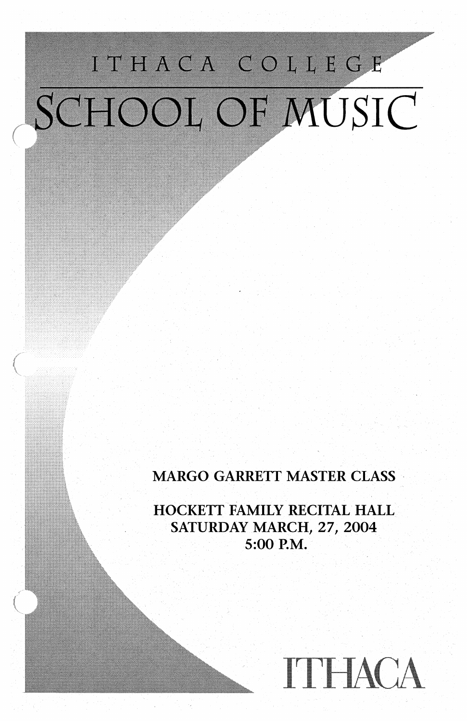# ITHACA COLLEGE SCHOOL OF MUSIC

### **MARGO GARRETT MASTER CLASS**

HOCKETT FAMILY RECITAL HALL SATURDAY MARCH, 27, 2004 5:00 P.M.